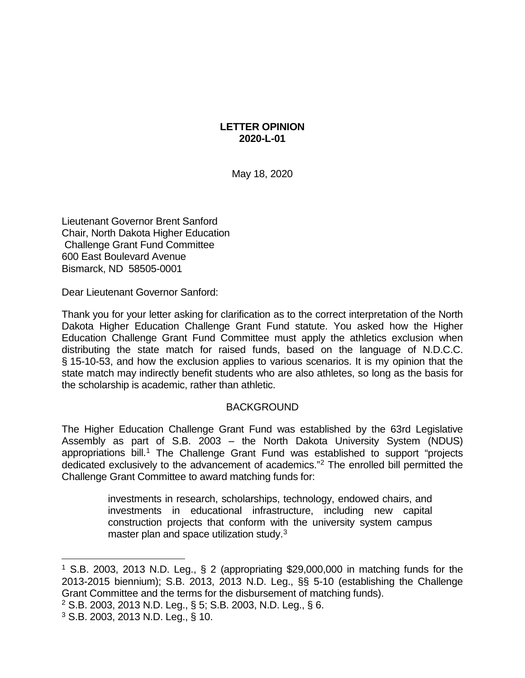## **LETTER OPINION 2020-L-01**

May 18, 2020

Lieutenant Governor Brent Sanford Chair, North Dakota Higher Education Challenge Grant Fund Committee 600 East Boulevard Avenue Bismarck, ND 58505-0001

Dear Lieutenant Governor Sanford:

Thank you for your letter asking for clarification as to the correct interpretation of the North Dakota Higher Education Challenge Grant Fund statute. You asked how the Higher Education Challenge Grant Fund Committee must apply the athletics exclusion when distributing the state match for raised funds, based on the language of N.D.C.C. § 15-10-53, and how the exclusion applies to various scenarios. It is my opinion that the state match may indirectly benefit students who are also athletes, so long as the basis for the scholarship is academic, rather than athletic.

## BACKGROUND

The Higher Education Challenge Grant Fund was established by the 63rd Legislative Assembly as part of S.B. 2003 – the North Dakota University System (NDUS) appropriations bill.<sup>[1](#page-0-0)</sup> The Challenge Grant Fund was established to support "projects" dedicated exclusively to the advancement of academics."[2](#page-0-1) The enrolled bill permitted the Challenge Grant Committee to award matching funds for:

> investments in research, scholarships, technology, endowed chairs, and investments in educational infrastructure, including new capital construction projects that conform with the university system campus master plan and space utilization study.<sup>[3](#page-0-2)</sup>

<span id="page-0-0"></span> <sup>1</sup> S.B. 2003, 2013 N.D. Leg., § 2 (appropriating \$29,000,000 in matching funds for the 2013-2015 biennium); S.B. 2013, 2013 N.D. Leg., §§ 5-10 (establishing the Challenge Grant Committee and the terms for the disbursement of matching funds).

<span id="page-0-1"></span><sup>2</sup> S.B. 2003, 2013 N.D. Leg., § 5; S.B. 2003, N.D. Leg., § 6.

<span id="page-0-2"></span><sup>3</sup> S.B. 2003, 2013 N.D. Leg., § 10.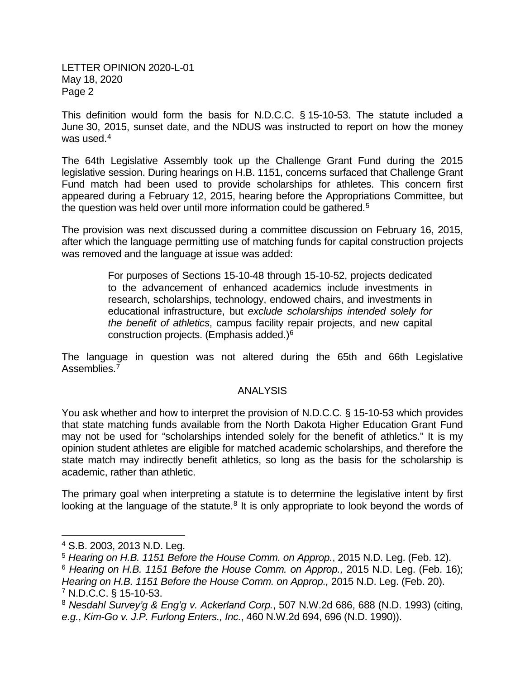This definition would form the basis for N.D.C.C. § 15-10-53. The statute included a June 30, 2015, sunset date, and the NDUS was instructed to report on how the money was used.<sup>[4](#page-1-0)</sup>

The 64th Legislative Assembly took up the Challenge Grant Fund during the 2015 legislative session. During hearings on H.B. 1151, concerns surfaced that Challenge Grant Fund match had been used to provide scholarships for athletes. This concern first appeared during a February 12, 2015, hearing before the Appropriations Committee, but the question was held over until more information could be gathered.<sup>[5](#page-1-1)</sup>

The provision was next discussed during a committee discussion on February 16, 2015, after which the language permitting use of matching funds for capital construction projects was removed and the language at issue was added:

> For purposes of Sections 15-10-48 through 15-10-52, projects dedicated to the advancement of enhanced academics include investments in research, scholarships, technology, endowed chairs, and investments in educational infrastructure, but *exclude scholarships intended solely for the benefit of athletics*, campus facility repair projects, and new capital construction projects. (Emphasis added.)[6](#page-1-2)

The language in question was not altered during the 65th and 66th Legislative Assemblies.<sup>[7](#page-1-3)</sup>

## ANALYSIS

You ask whether and how to interpret the provision of N.D.C.C. § 15-10-53 which provides that state matching funds available from the North Dakota Higher Education Grant Fund may not be used for "scholarships intended solely for the benefit of athletics." It is my opinion student athletes are eligible for matched academic scholarships, and therefore the state match may indirectly benefit athletics, so long as the basis for the scholarship is academic, rather than athletic.

The primary goal when interpreting a statute is to determine the legislative intent by first looking at the language of the statute.<sup>8</sup> It is only appropriate to look beyond the words of

<span id="page-1-0"></span> <sup>4</sup> S.B. 2003, 2013 N.D. Leg.

<span id="page-1-1"></span><sup>5</sup> *Hearing on H.B. 1151 Before the House Comm. on Approp.*, 2015 N.D. Leg. (Feb. 12).

<span id="page-1-2"></span><sup>6</sup> *Hearing on H.B. 1151 Before the House Comm. on Approp.,* 2015 N.D. Leg. (Feb. 16); *Hearing on H.B. 1151 Before the House Comm. on Approp.,* 2015 N.D. Leg. (Feb. 20). <sup>7</sup> N.D.C.C. § 15-10-53.

<span id="page-1-4"></span><span id="page-1-3"></span><sup>8</sup> *Nesdahl Survey'g & Eng'g v. Ackerland Corp.*, 507 N.W.2d 686, 688 (N.D. 1993) (citing, *e.g.*, *Kim-Go v. J.P. Furlong Enters., Inc.*, 460 N.W.2d 694, 696 (N.D. 1990)).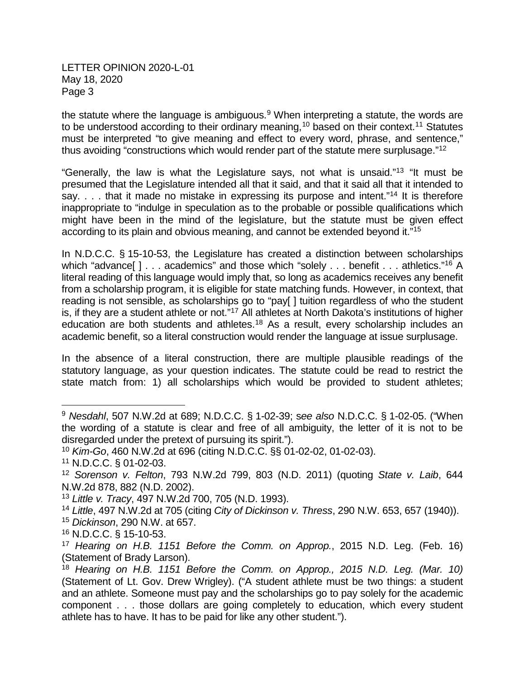the statute where the language is ambiguous.<sup>9</sup> When interpreting a statute, the words are to be understood according to their ordinary meaning,<sup>10</sup> based on their context.<sup>[11](#page-2-2)</sup> Statutes must be interpreted "to give meaning and effect to every word, phrase, and sentence," thus avoiding "constructions which would render part of the statute mere surplusage."[12](#page-2-3)

"Generally, the law is what the Legislature says, not what is unsaid."<sup>[13](#page-2-4)</sup> "It must be presumed that the Legislature intended all that it said, and that it said all that it intended to say. . . . that it made no mistake in expressing its purpose and intent."<sup>[14](#page-2-5)</sup> It is therefore inappropriate to "indulge in speculation as to the probable or possible qualifications which might have been in the mind of the legislature, but the statute must be given effect according to its plain and obvious meaning, and cannot be extended beyond it.["15](#page-2-6)

In N.D.C.C. § 15-10-53, the Legislature has created a distinction between scholarships which "advance[ ] . . . academics" and those which "solely . . . benefit . . . athletics."<sup>[16](#page-2-7)</sup> A literal reading of this language would imply that, so long as academics receives any benefit from a scholarship program, it is eligible for state matching funds. However, in context, that reading is not sensible, as scholarships go to "pay[ ] tuition regardless of who the student is, if they are a student athlete or not.["17](#page-2-8) All athletes at North Dakota's institutions of higher education are both students and athletes.<sup>[18](#page-2-9)</sup> As a result, every scholarship includes an academic benefit, so a literal construction would render the language at issue surplusage.

In the absence of a literal construction, there are multiple plausible readings of the statutory language, as your question indicates. The statute could be read to restrict the state match from: 1) all scholarships which would be provided to student athletes;

<span id="page-2-6"></span><sup>15</sup> *Dickinson*, 290 N.W. at 657.

<span id="page-2-0"></span> <sup>9</sup> *Nesdahl*, 507 N.W.2d at 689; N.D.C.C. § 1-02-39; <sup>s</sup>*ee also* N.D.C.C. § 1-02-05. ("When the wording of a statute is clear and free of all ambiguity, the letter of it is not to be disregarded under the pretext of pursuing its spirit.").

<span id="page-2-1"></span><sup>10</sup> *Kim-Go*, 460 N.W.2d at 696 (citing N.D.C.C. §§ 01-02-02, 01-02-03).

<span id="page-2-2"></span><sup>11</sup> N.D.C.C. § 01-02-03.

<span id="page-2-3"></span><sup>12</sup> *Sorenson v. Felton*, 793 N.W.2d 799, 803 (N.D. 2011) (quoting *State v. Laib*, 644 N.W.2d 878, 882 (N.D. 2002).

<span id="page-2-4"></span><sup>13</sup> *Little v. Tracy*, 497 N.W.2d 700, 705 (N.D. 1993).

<span id="page-2-5"></span><sup>14</sup> *Little*, 497 N.W.2d at 705 (citing *City of Dickinson v. Thress*, 290 N.W. 653, 657 (1940)).

<span id="page-2-7"></span><sup>16</sup> N.D.C.C. § 15-10-53.

<span id="page-2-8"></span><sup>17</sup> *Hearing on H.B. 1151 Before the Comm. on Approp.*, 2015 N.D. Leg. (Feb. 16) (Statement of Brady Larson).

<span id="page-2-9"></span><sup>18</sup> *Hearing on H.B. 1151 Before the Comm. on Approp., 2015 N.D. Leg. (Mar. 10)*  (Statement of Lt. Gov. Drew Wrigley). ("A student athlete must be two things: a student and an athlete. Someone must pay and the scholarships go to pay solely for the academic component . . . those dollars are going completely to education, which every student athlete has to have. It has to be paid for like any other student.").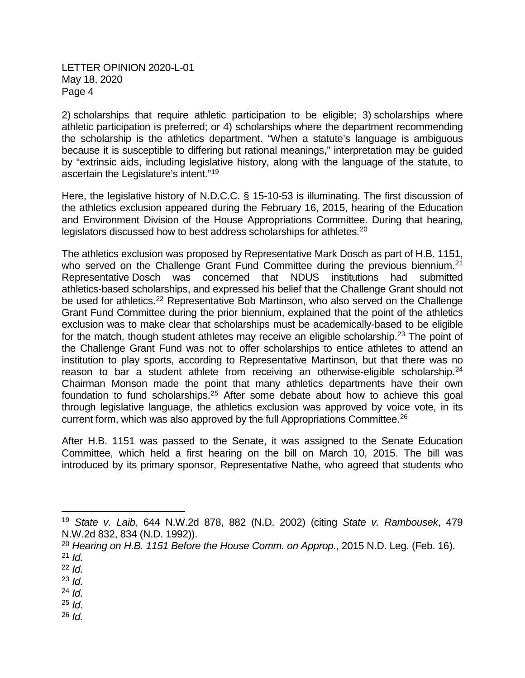2) scholarships that require athletic participation to be eligible; 3) scholarships where athletic participation is preferred; or 4) scholarships where the department recommending the scholarship is the athletics department. "When a statute's language is ambiguous because it is susceptible to differing but rational meanings," interpretation may be guided by "extrinsic aids, including legislative history, along with the language of the statute, to ascertain the Legislature's intent."[19](#page-3-0)

Here, the legislative history of N.D.C.C. § 15-10-53 is illuminating. The first discussion of the athletics exclusion appeared during the February 16, 2015, hearing of the Education and Environment Division of the House Appropriations Committee. During that hearing, legislators discussed how to best address scholarships for athletes.<sup>[20](#page-3-1)</sup>

The athletics exclusion was proposed by Representative Mark Dosch as part of H.B. 1151, who served on the Challenge Grant Fund Committee during the previous biennium.<sup>[21](#page-3-2)</sup> Representative Dosch was concerned that NDUS institutions had submitted athletics-based scholarships, and expressed his belief that the Challenge Grant should not be used for athletics.<sup>[22](#page-3-3)</sup> Representative Bob Martinson, who also served on the Challenge Grant Fund Committee during the prior biennium, explained that the point of the athletics exclusion was to make clear that scholarships must be academically-based to be eligible for the match, though student athletes may receive an eligible scholarship.<sup>[23](#page-3-4)</sup> The point of the Challenge Grant Fund was not to offer scholarships to entice athletes to attend an institution to play sports, according to Representative Martinson, but that there was no reason to bar a student athlete from receiving an otherwise-eligible scholarship.<sup>[24](#page-3-5)</sup> Chairman Monson made the point that many athletics departments have their own foundation to fund scholarships.<sup>[25](#page-3-6)</sup> After some debate about how to achieve this goal through legislative language, the athletics exclusion was approved by voice vote, in its current form, which was also approved by the full Appropriations Committee.<sup>[26](#page-3-7)</sup>

After H.B. 1151 was passed to the Senate, it was assigned to the Senate Education Committee, which held a first hearing on the bill on March 10, 2015. The bill was introduced by its primary sponsor, Representative Nathe, who agreed that students who

<span id="page-3-7"></span><sup>26</sup> *Id.*

<span id="page-3-0"></span> <sup>19</sup> *State v. Laib*, 644 N.W.2d 878, 882 (N.D. 2002) (citing *State v. Rambousek*, 479 N.W.2d 832, 834 (N.D. 1992)).

<span id="page-3-2"></span><span id="page-3-1"></span><sup>20</sup> *Hearing on H.B. 1151 Before the House Comm. on Approp.*, 2015 N.D. Leg. (Feb. 16). <sup>21</sup> *Id.*

<span id="page-3-3"></span><sup>22</sup> *Id.*

<span id="page-3-4"></span><sup>23</sup> *Id.*

<span id="page-3-5"></span><sup>24</sup> *Id.*

<span id="page-3-6"></span> $25$  *Id.*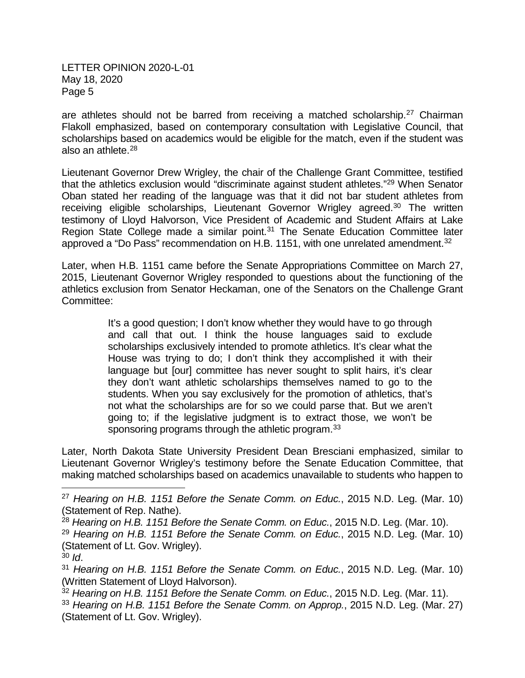are athletes should not be barred from receiving a matched scholarship.<sup>[27](#page-4-0)</sup> Chairman Flakoll emphasized, based on contemporary consultation with Legislative Council, that scholarships based on academics would be eligible for the match, even if the student was also an athlete.[28](#page-4-1)

Lieutenant Governor Drew Wrigley, the chair of the Challenge Grant Committee, testified that the athletics exclusion would "discriminate against student athletes.["29](#page-4-2) When Senator Oban stated her reading of the language was that it did not bar student athletes from receiving eligible scholarships, Lieutenant Governor Wrigley agreed.<sup>[30](#page-4-3)</sup> The written testimony of Lloyd Halvorson, Vice President of Academic and Student Affairs at Lake Region State College made a similar point.<sup>[31](#page-4-4)</sup> The Senate Education Committee later approved a "Do Pass" recommendation on H.B. 1151, with one unrelated amendment.<sup>32</sup>

Later, when H.B. 1151 came before the Senate Appropriations Committee on March 27, 2015, Lieutenant Governor Wrigley responded to questions about the functioning of the athletics exclusion from Senator Heckaman, one of the Senators on the Challenge Grant Committee:

> It's a good question; I don't know whether they would have to go through and call that out. I think the house languages said to exclude scholarships exclusively intended to promote athletics. It's clear what the House was trying to do; I don't think they accomplished it with their language but [our] committee has never sought to split hairs, it's clear they don't want athletic scholarships themselves named to go to the students. When you say exclusively for the promotion of athletics, that's not what the scholarships are for so we could parse that. But we aren't going to; if the legislative judgment is to extract those, we won't be sponsoring programs through the athletic program.<sup>[33](#page-4-6)</sup>

Later, North Dakota State University President Dean Bresciani emphasized, similar to Lieutenant Governor Wrigley's testimony before the Senate Education Committee, that making matched scholarships based on academics unavailable to students who happen to

<span id="page-4-0"></span> <sup>27</sup> *Hearing on H.B. 1151 Before the Senate Comm. on Educ.*, 2015 N.D. Leg. (Mar. 10) (Statement of Rep. Nathe).

<span id="page-4-1"></span><sup>28</sup> *Hearing on H.B. 1151 Before the Senate Comm. on Educ.*, 2015 N.D. Leg. (Mar. 10).

<span id="page-4-2"></span><sup>29</sup> *Hearing on H.B. 1151 Before the Senate Comm. on Educ.*, 2015 N.D. Leg. (Mar. 10) (Statement of Lt. Gov. Wrigley).

<span id="page-4-3"></span><sup>30</sup> *Id*.

<span id="page-4-4"></span><sup>31</sup> *Hearing on H.B. 1151 Before the Senate Comm. on Educ.*, 2015 N.D. Leg. (Mar. 10) (Written Statement of Lloyd Halvorson).

<span id="page-4-6"></span><span id="page-4-5"></span><sup>32</sup> *Hearing on H.B. 1151 Before the Senate Comm. on Educ.*, 2015 N.D. Leg. (Mar. 11). <sup>33</sup> *Hearing on H.B. 1151 Before the Senate Comm. on Approp.*, 2015 N.D. Leg. (Mar. 27) (Statement of Lt. Gov. Wrigley).